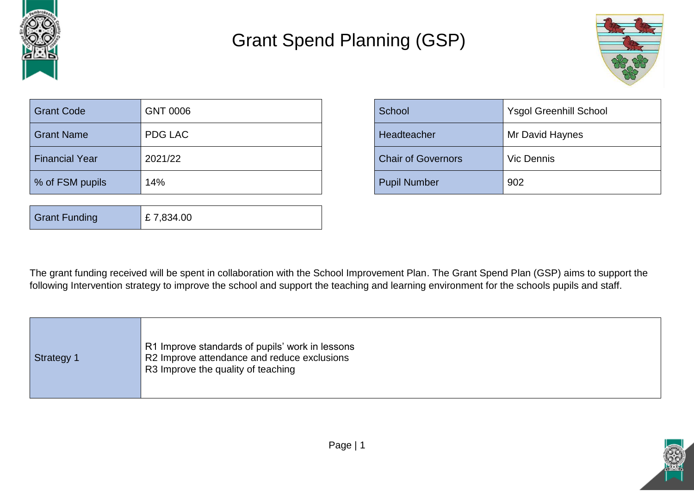

## Grant Spend Planning (GSP)



| <b>Grant Code</b>     | <b>GNT 0006</b> | School                    | <b>Ysgol Greenhill School</b> |
|-----------------------|-----------------|---------------------------|-------------------------------|
| <b>Grant Name</b>     | <b>PDG LAC</b>  | Headteacher               | Mr David Haynes               |
| <b>Financial Year</b> | 2021/22         | <b>Chair of Governors</b> | Vic Dennis                    |
| % of FSM pupils       | 14%             | <b>Pupil Number</b>       | 902                           |

| <b>Grant Funding</b> | £7,834.00 |
|----------------------|-----------|
|----------------------|-----------|

| School                    | <b>Ysgol Greenhill School</b> |
|---------------------------|-------------------------------|
| Headteacher               | Mr David Haynes               |
| <b>Chair of Governors</b> | <b>Vic Dennis</b>             |
| <b>Pupil Number</b>       | 902                           |

The grant funding received will be spent in collaboration with the School Improvement Plan. The Grant Spend Plan (GSP) aims to support the following Intervention strategy to improve the school and support the teaching and learning environment for the schools pupils and staff.

|  | <b>Strategy 1</b> | R1 Improve standards of pupils' work in lessons<br>R2 Improve attendance and reduce exclusions<br>R3 Improve the quality of teaching |
|--|-------------------|--------------------------------------------------------------------------------------------------------------------------------------|
|--|-------------------|--------------------------------------------------------------------------------------------------------------------------------------|

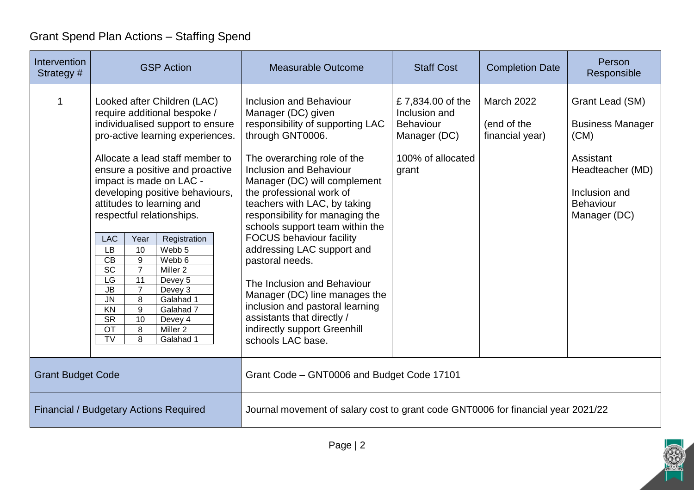## Grant Spend Plan Actions – Staffing Spend

| Intervention<br>Strategy #                    | <b>GSP Action</b>                                                                                                                                                                                                                                                                                                                                                                                                                                                                                                                                                                                                                                                                                                                                                      | <b>Measurable Outcome</b>                                                                                                                                                                                                                                                                                                                                                                                                                                                                                                                                                                                          | <b>Staff Cost</b>                                                                                   | <b>Completion Date</b>                              | Person<br>Responsible                                                                                                                    |
|-----------------------------------------------|------------------------------------------------------------------------------------------------------------------------------------------------------------------------------------------------------------------------------------------------------------------------------------------------------------------------------------------------------------------------------------------------------------------------------------------------------------------------------------------------------------------------------------------------------------------------------------------------------------------------------------------------------------------------------------------------------------------------------------------------------------------------|--------------------------------------------------------------------------------------------------------------------------------------------------------------------------------------------------------------------------------------------------------------------------------------------------------------------------------------------------------------------------------------------------------------------------------------------------------------------------------------------------------------------------------------------------------------------------------------------------------------------|-----------------------------------------------------------------------------------------------------|-----------------------------------------------------|------------------------------------------------------------------------------------------------------------------------------------------|
| 1                                             | Looked after Children (LAC)<br>require additional bespoke /<br>individualised support to ensure<br>pro-active learning experiences.<br>Allocate a lead staff member to<br>ensure a positive and proactive<br>impact is made on LAC -<br>developing positive behaviours,<br>attitudes to learning and<br>respectful relationships.<br>Registration<br><b>LAC</b><br>Year<br>LB<br>Webb 5<br>10<br>CB<br>9<br>Webb 6<br>$\overline{SC}$<br>$\overline{7}$<br>Miller <sub>2</sub><br>LG<br>11<br>Devey 5<br>$\overline{\mathsf{JB}}$<br>$\overline{7}$<br>Devey 3<br>$\overline{\mathsf{J}}\mathsf{N}$<br>8<br>Galahad 1<br>KN<br>9<br>Galahad 7<br>$\overline{\text{SR}}$<br>10<br>Devey 4<br>$\overline{OT}$<br>8<br>Miller <sub>2</sub><br><b>TV</b><br>8<br>Galahad 1 | Inclusion and Behaviour<br>Manager (DC) given<br>responsibility of supporting LAC<br>through GNT0006.<br>The overarching role of the<br><b>Inclusion and Behaviour</b><br>Manager (DC) will complement<br>the professional work of<br>teachers with LAC, by taking<br>responsibility for managing the<br>schools support team within the<br><b>FOCUS behaviour facility</b><br>addressing LAC support and<br>pastoral needs.<br>The Inclusion and Behaviour<br>Manager (DC) line manages the<br>inclusion and pastoral learning<br>assistants that directly /<br>indirectly support Greenhill<br>schools LAC base. | £7,834.00 of the<br>Inclusion and<br><b>Behaviour</b><br>Manager (DC)<br>100% of allocated<br>grant | <b>March 2022</b><br>(end of the<br>financial year) | Grant Lead (SM)<br><b>Business Manager</b><br>(CM)<br>Assistant<br>Headteacher (MD)<br>Inclusion and<br><b>Behaviour</b><br>Manager (DC) |
| <b>Grant Budget Code</b>                      |                                                                                                                                                                                                                                                                                                                                                                                                                                                                                                                                                                                                                                                                                                                                                                        | Grant Code - GNT0006 and Budget Code 17101                                                                                                                                                                                                                                                                                                                                                                                                                                                                                                                                                                         |                                                                                                     |                                                     |                                                                                                                                          |
| <b>Financial / Budgetary Actions Required</b> |                                                                                                                                                                                                                                                                                                                                                                                                                                                                                                                                                                                                                                                                                                                                                                        | Journal movement of salary cost to grant code GNT0006 for financial year 2021/22                                                                                                                                                                                                                                                                                                                                                                                                                                                                                                                                   |                                                                                                     |                                                     |                                                                                                                                          |